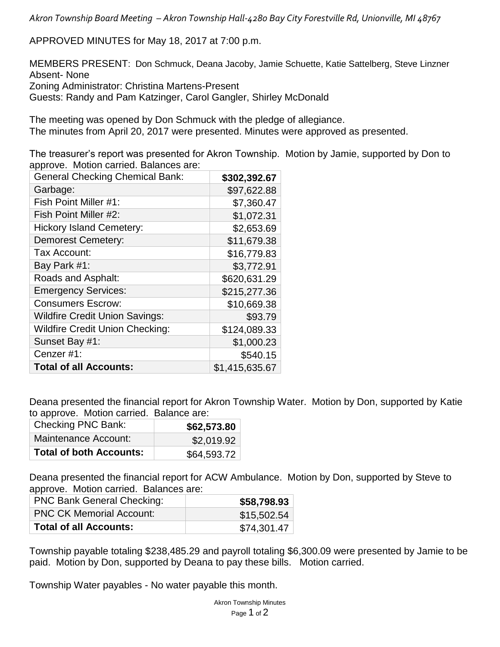*Akron Township Board Meeting – Akron Township Hall-4280 Bay City Forestville Rd, Unionville, MI 48767*

APPROVED MINUTES for May 18, 2017 at 7:00 p.m.

MEMBERS PRESENT: Don Schmuck, Deana Jacoby, Jamie Schuette, Katie Sattelberg, Steve Linzner Absent- None Zoning Administrator: Christina Martens-Present Guests: Randy and Pam Katzinger, Carol Gangler, Shirley McDonald

The meeting was opened by Don Schmuck with the pledge of allegiance. The minutes from April 20, 2017 were presented. Minutes were approved as presented.

The treasurer's report was presented for Akron Township. Motion by Jamie, supported by Don to approve. Motion carried. Balances are:

| <b>General Checking Chemical Bank:</b> | \$302,392.67   |
|----------------------------------------|----------------|
| Garbage:                               | \$97,622.88    |
| Fish Point Miller #1:                  | \$7,360.47     |
| Fish Point Miller #2:                  | \$1,072.31     |
| <b>Hickory Island Cemetery:</b>        | \$2,653.69     |
| <b>Demorest Cemetery:</b>              | \$11,679.38    |
| Tax Account:                           | \$16,779.83    |
| Bay Park #1:                           | \$3,772.91     |
| Roads and Asphalt:                     | \$620,631.29   |
| <b>Emergency Services:</b>             | \$215,277.36   |
| <b>Consumers Escrow:</b>               | \$10,669.38    |
| <b>Wildfire Credit Union Savings:</b>  | \$93.79        |
| <b>Wildfire Credit Union Checking:</b> | \$124,089.33   |
| Sunset Bay #1:                         | \$1,000.23     |
| Cenzer #1:                             | \$540.15       |
| <b>Total of all Accounts:</b>          | \$1,415,635.67 |

Deana presented the financial report for Akron Township Water. Motion by Don, supported by Katie to approve. Motion carried. Balance are:

| <b>Checking PNC Bank:</b>      | \$62,573.80 |
|--------------------------------|-------------|
| Maintenance Account:           | \$2,019.92  |
| <b>Total of both Accounts:</b> | \$64,593.72 |

Deana presented the financial report for ACW Ambulance. Motion by Don, supported by Steve to approve. Motion carried. Balances are:

| <b>PNC Bank General Checking:</b> | \$58,798.93 |
|-----------------------------------|-------------|
| <b>PNC CK Memorial Account:</b>   | \$15,502.54 |
| <b>Total of all Accounts:</b>     | \$74,301.47 |

Township payable totaling \$238,485.29 and payroll totaling \$6,300.09 were presented by Jamie to be paid. Motion by Don, supported by Deana to pay these bills. Motion carried.

Township Water payables - No water payable this month.